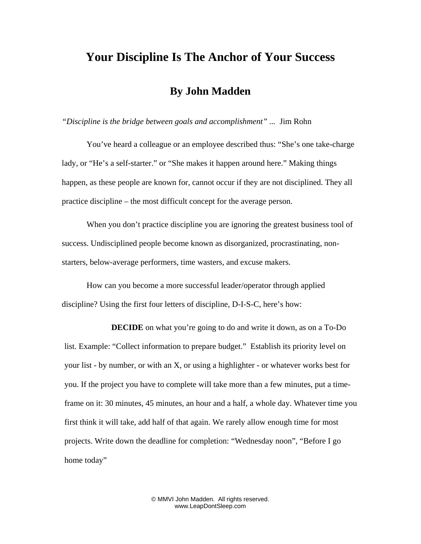## **Your Discipline Is The Anchor of Your Success**

## **By John Madden**

*"Discipline is the bridge between goals and accomplishment" ...* Jim Rohn

You've heard a colleague or an employee described thus: "She's one take-charge lady, or "He's a self-starter." or "She makes it happen around here." Making things happen, as these people are known for, cannot occur if they are not disciplined. They all practice discipline – the most difficult concept for the average person.

When you don't practice discipline you are ignoring the greatest business tool of success. Undisciplined people become known as disorganized, procrastinating, nonstarters, below-average performers, time wasters, and excuse makers.

How can you become a more successful leader/operator through applied discipline? Using the first four letters of discipline, D-I-S-C, here's how:

**DECIDE** on what you're going to do and write it down, as on a To-Do list. Example: "Collect information to prepare budget." Establish its priority level on your list - by number, or with an X, or using a highlighter - or whatever works best for you. If the project you have to complete will take more than a few minutes, put a timeframe on it: 30 minutes, 45 minutes, an hour and a half, a whole day. Whatever time you first think it will take, add half of that again. We rarely allow enough time for most projects. Write down the deadline for completion: "Wednesday noon", "Before I go home today"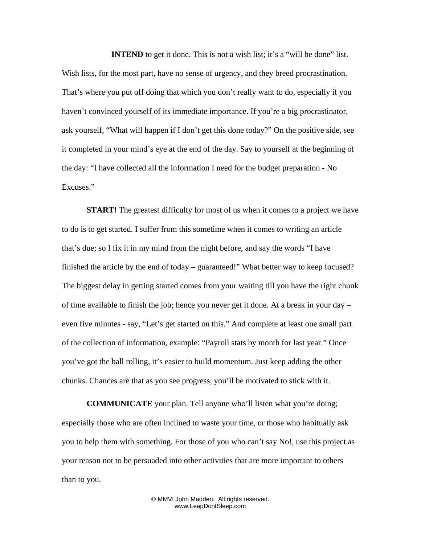**INTEND** to get it done. This is not a wish list; it's a "will be done" list. Wish lists, for the most part, have no sense of urgency, and they breed procrastination. That's where you put off doing that which you don't really want to do, especially if you haven't convinced yourself of its immediate importance. If you're a big procrastinator, ask yourself, "What will happen if I don't get this done today?" On the positive side, see it completed in your mind's eye at the end of the day. Say to yourself at the beginning of the day: "I have collected all the information I need for the budget preparation - No Excuses."

**START!** The greatest difficulty for most of us when it comes to a project we have to do is to get started. I suffer from this sometime when it comes to writing an article that's due; so I fix it in my mind from the night before, and say the words "I have finished the article by the end of today – guaranteed!" What better way to keep focused? The biggest delay in getting started comes from your waiting till you have the right chunk of time available to finish the job; hence you never get it done. At a break in your day – even five minutes - say, "Let's get started on this." And complete at least one small part of the collection of information, example: "Payroll stats by month for last year." Once you've got the ball rolling, it's easier to build momentum. Just keep adding the other chunks. Chances are that as you see progress, you'll be motivated to stick with it.

**COMMUNICATE** your plan. Tell anyone who'll listen what you're doing; especially those who are often inclined to waste your time, or those who habitually ask you to help them with something. For those of you who can't say No!, use this project as your reason not to be persuaded into other activities that are more important to others than to you.